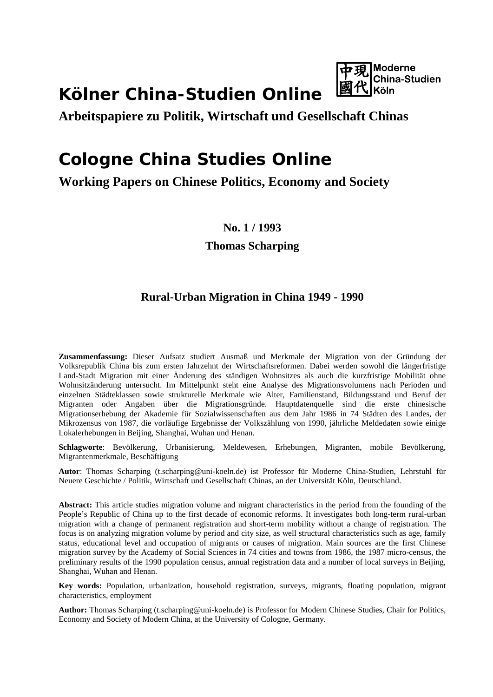# **Kölner China-Studien Online**



**Arbeitspapiere zu Politik, Wirtschaft und Gesellschaft Chinas**

# **Cologne China Studies Online**

# **Working Papers on Chinese Politics, Economy and Society**

# **No. 1 / 1993**

# **Thomas Scharping**

# **Rural-Urban Migration in China 1949 - 1990**

**Zusammenfassung:** Dieser Aufsatz studiert Ausmaß und Merkmale der Migration von der Gründung der Volksrepublik China bis zum ersten Jahrzehnt der Wirtschaftsreformen. Dabei werden sowohl die längerfristige Land-Stadt Migration mit einer Änderung des ständigen Wohnsitzes als auch die kurzfristige Mobilität ohne Wohnsitzänderung untersucht. Im Mittelpunkt steht eine Analyse des Migrationsvolumens nach Perioden und einzelnen Städteklassen sowie strukturelle Merkmale wie Alter, Familienstand, Bildungsstand und Beruf der Migranten oder Angaben über die Migrationsgründe. Hauptdatenquelle sind die erste chinesische Migrationserhebung der Akademie für Sozialwissenschaften aus dem Jahr 1986 in 74 Städten des Landes, der Mikrozensus von 1987, die vorläufige Ergebnisse der Volkszählung von 1990, jährliche Meldedaten sowie einige Lokalerhebungen in Beijing, Shanghai, Wuhan und Henan.

**Schlagworte**: Bevölkerung, Urbanisierung, Meldewesen, Erhebungen, Migranten, mobile Bevölkerung, Migrantenmerkmale, Beschäftigung

**Autor**: Thomas Scharping [\(t.scharping@uni-koeln.de\)](mailto:t.scharping@uni-koeln.de) ist Professor für Moderne China-Studien, Lehrstuhl für Neuere Geschichte / Politik, Wirtschaft und Gesellschaft Chinas, an der Universität Köln, Deutschland.

**Abstract:** This article studies migration volume and migrant characteristics in the period from the founding of the People's Republic of China up to the first decade of economic reforms. It investigates both long-term rural-urban migration with a change of permanent registration and short-term mobility without a change of registration. The focus is on analyzing migration volume by period and city size, as well structural characteristics such as age, family status, educational level and occupation of migrants or causes of migration. Main sources are the first Chinese migration survey by the Academy of Social Sciences in 74 cities and towns from 1986, the 1987 micro-census, the preliminary results of the 1990 population census, annual registration data and a number of local surveys in Beijing, Shanghai, Wuhan and Henan.

**Key words:** Population, urbanization, household registration, surveys, migrants, floating population, migrant characteristics, employment

**Author:** Thomas Scharping [\(t.scharping@uni-koeln.de\)](mailto:t.scharping@uni-koeln.de) is Professor for Modern Chinese Studies, Chair for Politics, Economy and Society of Modern China, at the University of Cologne, Germany.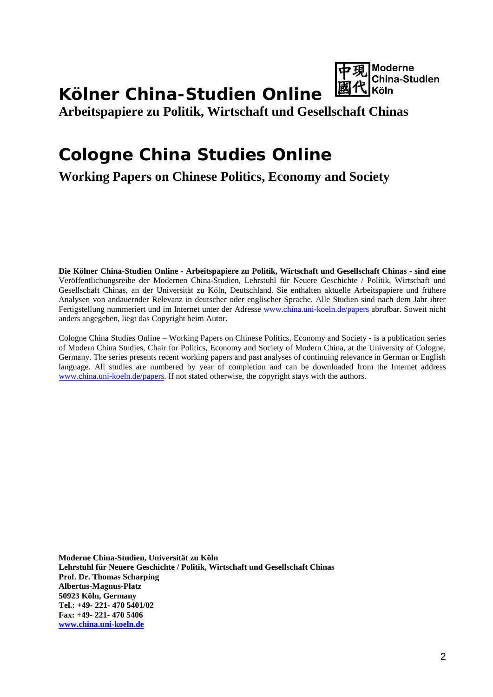

# **Kölner China-Studien Online**

**Arbeitspapiere zu Politik, Wirtschaft und Gesellschaft Chinas**

# **Cologne China Studies Online**

**Working Papers on Chinese Politics, Economy and Society**

**Die Kölner China-Studien Online - Arbeitspapiere zu Politik, Wirtschaft und Gesellschaft Chinas - sind eine**  Veröffentlichungsreihe der Modernen China-Studien, Lehrstuhl für Neuere Geschichte / Politik, Wirtschaft und Gesellschaft Chinas, an der Universität zu Köln, Deutschland. Sie enthalten aktuelle Arbeitspapiere und frühere Analysen von andauernder Relevanz in deutscher oder englischer Sprache. Alle Studien sind nach dem Jahr ihrer Fertigstellung nummeriert und im Internet unter der Adresse [www.china.uni-koeln.de/papers](http://www.china.uni-koeln.de/papers) abrufbar. Soweit nicht anders angegeben, liegt das Copyright beim Autor.

Cologne China Studies Online – Working Papers on Chinese Politics, Economy and Society - is a publication series of Modern China Studies, Chair for Politics, Economy and Society of Modern China, at the University of Cologne, Germany. The series presents recent working papers and past analyses of continuing relevance in German or English language. All studies are numbered by year of completion and can be downloaded from the Internet address [www.china.uni-koeln.de/papers.](http://www.china.uni-koeln.de/papers) If not stated otherwise, the copyright stays with the authors.

**Moderne China-Studien, Universität zu Köln Lehrstuhl für Neuere Geschichte / Politik, Wirtschaft und Gesellschaft Chinas Prof. Dr. Thomas Scharping Albertus-Magnus-Platz 50923 Köln, Germany Tel.: +49- 221- 470 5401/02 Fax: +49- 221- 470 5406 [www.china.uni-koeln.de](http://www.china.uni-koeln.de/)**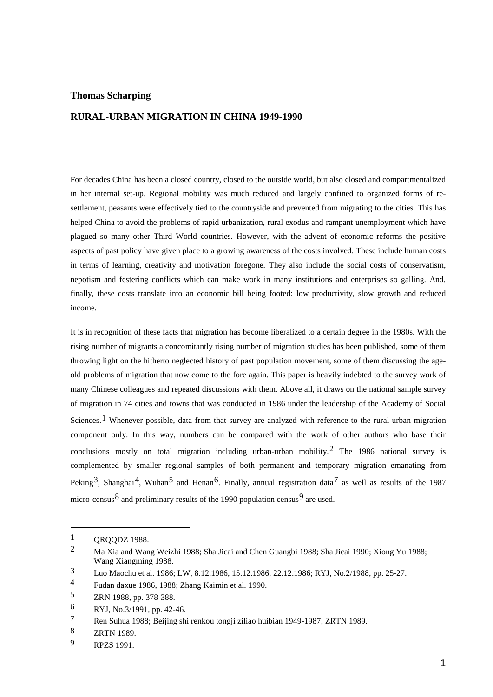## **Thomas Scharping**

## **RURAL-URBAN MIGRATION IN CHINA 1949-1990**

For decades China has been a closed country, closed to the outside world, but also closed and compartmentalized in her internal set-up. Regional mobility was much reduced and largely confined to organized forms of resettlement, peasants were effectively tied to the countryside and prevented from migrating to the cities. This has helped China to avoid the problems of rapid urbanization, rural exodus and rampant unemployment which have plagued so many other Third World countries. However, with the advent of economic reforms the positive aspects of past policy have given place to a growing awareness of the costs involved. These include human costs in terms of learning, creativity and motivation foregone. They also include the social costs of conservatism, nepotism and festering conflicts which can make work in many institutions and enterprises so galling. And, finally, these costs translate into an economic bill being footed: low productivity, slow growth and reduced income.

It is in recognition of these facts that migration has become liberalized to a certain degree in the 1980s. With the rising number of migrants a concomitantly rising number of migration studies has been published, some of them throwing light on the hitherto neglected history of past population movement, some of them discussing the ageold problems of migration that now come to the fore again. This paper is heavily indebted to the survey work of many Chinese colleagues and repeated discussions with them. Above all, it draws on the national sample survey of migration in 74 cities and towns that was conducted in 1986 under the leadership of the Academy of Social Sciences.<sup>[1](#page-2-0)</sup> Whenever possible, data from that survey are analyzed with reference to the rural-urban migration component only. In this way, numbers can be compared with the work of other authors who base their conclusions mostly on total migration including urban-urban mobility.<sup>[2](#page-2-1)</sup> The 1986 national survey is complemented by smaller regional samples of both permanent and temporary migration emanating from Peking<sup>[3](#page-2-2)</sup>, Shanghai<sup>4</sup>, Wuhan<sup>[5](#page-2-4)</sup> and Henan<sup>6</sup>. Finally, annual registration data<sup>[7](#page-2-6)</sup> as well as results of the 1987 micro-census<sup>[8](#page-2-7)</sup> and preliminary results of the 1[9](#page-2-8)90 population census<sup>9</sup> are used.

<span id="page-2-0"></span> $\frac{1}{2}$  QRQQDZ 1988.

<span id="page-2-1"></span><sup>2</sup> Ma Xia and Wang Weizhi 1988; Sha Jicai and Chen Guangbi 1988; Sha Jicai 1990; Xiong Yu 1988; Wang Xiangming 1988.

<span id="page-2-2"></span><sup>3</sup> Luo Maochu et al. 1986; LW, 8.12.1986, 15.12.1986, 22.12.1986; RYJ, No.2/1988, pp. 25-27.

<span id="page-2-3"></span><sup>4</sup> Fudan daxue 1986, 1988; Zhang Kaimin et al. 1990.

<span id="page-2-4"></span><sup>5</sup> ZRN 1988, pp. 378-388.

<span id="page-2-5"></span><sup>6</sup> RYJ, No.3/1991, pp. 42-46.

<span id="page-2-6"></span><sup>7</sup> Ren Suhua 1988; Beijing shi renkou tongji ziliao huibian 1949-1987; ZRTN 1989.

<span id="page-2-7"></span><sup>8</sup> ZRTN 1989.

<span id="page-2-8"></span><sup>9</sup> RPZS 1991.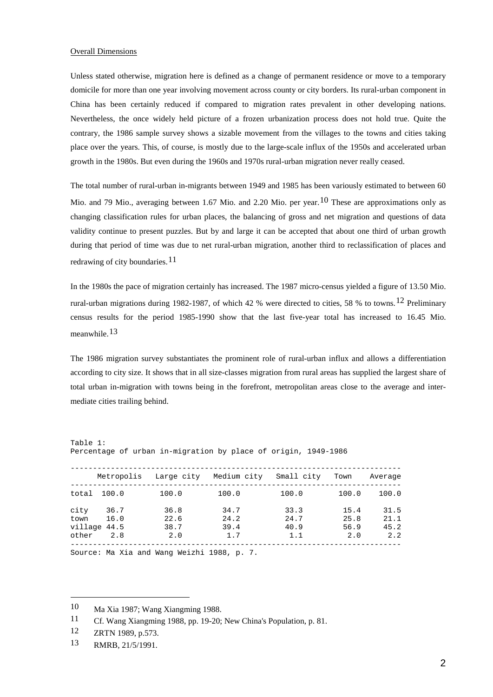### Overall Dimensions

Unless stated otherwise, migration here is defined as a change of permanent residence or move to a temporary domicile for more than one year involving movement across county or city borders. Its rural-urban component in China has been certainly reduced if compared to migration rates prevalent in other developing nations. Nevertheless, the once widely held picture of a frozen urbanization process does not hold true. Quite the contrary, the 1986 sample survey shows a sizable movement from the villages to the towns and cities taking place over the years. This, of course, is mostly due to the large-scale influx of the 1950s and accelerated urban growth in the 1980s. But even during the 1960s and 1970s rural-urban migration never really ceased.

The total number of rural-urban in-migrants between 1949 and 1985 has been variously estimated to between 60 Mio. and 79 Mio., averaging between 1.67 Mio. and 2.20 Mio. per year.<sup>[10](#page-3-0)</sup> These are approximations only as changing classification rules for urban places, the balancing of gross and net migration and questions of data validity continue to present puzzles. But by and large it can be accepted that about one third of urban growth during that period of time was due to net rural-urban migration, another third to reclassification of places and redrawing of city boundaries.<sup>[11](#page-3-1)</sup>

In the 1980s the pace of migration certainly has increased. The 1987 micro-census yielded a figure of 13.50 Mio. rural-urban migrations during 1982-1987, of which 42 % were directed to cities, 58 % to towns.<sup>[12](#page-3-2)</sup> Preliminary census results for the period 1985-1990 show that the last five-year total has increased to 16.45 Mio. meanwhile.[13](#page-3-3)

The 1986 migration survey substantiates the prominent role of rural-urban influx and allows a differentiation according to city size. It shows that in all size-classes migration from rural areas has supplied the largest share of total urban in-migration with towns being in the forefront, metropolitan areas close to the average and intermediate cities trailing behind.

|              | Metropolis   | Larqe city   | Medium city  | Small city   | Town         | Average      |
|--------------|--------------|--------------|--------------|--------------|--------------|--------------|
| total        | 100.0        | 100.0        | 100.0        | 100.0        | 100.0        | 100.0        |
| city<br>town | 36.7<br>16.0 | 36.8<br>22.6 | 34.7<br>24.2 | 33.3<br>24.7 | 15.4<br>25.8 | 31.5<br>21.1 |
| village 44.5 |              | 38.7         | 39.4         | 40.9         | 56.9         | 45.2         |
| other        | 2.8          | 2.0          | 1.7          | 1.1          | 2.0          | 2.2          |

Percentage of urban in-migration by place of origin, 1949-1986

Source: Ma Xia and Wang Weizhi 1988, p. 7.

Table 1:

<span id="page-3-0"></span><sup>10</sup> Ma Xia 1987; Wang Xiangming 1988.

<span id="page-3-1"></span><sup>11</sup> Cf. Wang Xiangming 1988, pp. 19-20; New China's Population, p. 81.

<span id="page-3-2"></span><sup>12</sup> ZRTN 1989, p.573.

<span id="page-3-3"></span><sup>13</sup> RMRB, 21/5/1991.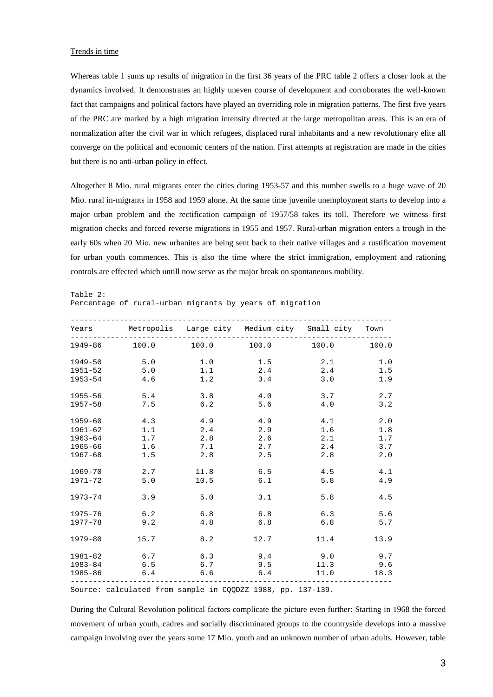## Trends in time

Whereas table 1 sums up results of migration in the first 36 years of the PRC table 2 offers a closer look at the dynamics involved. It demonstrates an highly uneven course of development and corroborates the well-known fact that campaigns and political factors have played an overriding role in migration patterns. The first five years of the PRC are marked by a high migration intensity directed at the large metropolitan areas. This is an era of normalization after the civil war in which refugees, displaced rural inhabitants and a new revolutionary elite all converge on the political and economic centers of the nation. First attempts at registration are made in the cities but there is no anti-urban policy in effect.

Altogether 8 Mio. rural migrants enter the cities during 1953-57 and this number swells to a huge wave of 20 Mio. rural in-migrants in 1958 and 1959 alone. At the same time juvenile unemployment starts to develop into a major urban problem and the rectification campaign of 1957/58 takes its toll. Therefore we witness first migration checks and forced reverse migrations in 1955 and 1957. Rural-urban migration enters a trough in the early 60s when 20 Mio. new urbanites are being sent back to their native villages and a rustification movement for urban youth commences. This is also the time where the strict immigration, employment and rationing controls are effected which untill now serve as the major break on spontaneous mobility.

Table 2:

Percentage of rural-urban migrants by years of migration

|             | Years Metropolis Large city Medium city Small city Town     |      |       |      |            |
|-------------|-------------------------------------------------------------|------|-------|------|------------|
|             | $1949-86$ $100.0$ $100.0$ $100.0$ $100.0$ $100.0$ $100.0$   |      |       |      |            |
| $1949 - 50$ | 5.0                                                         | 1.0  | 1.5   | 2.1  | $1\,.$ $0$ |
| $1951 - 52$ | 5.0                                                         | 1.1  | 2.4   | 2.4  | 1.5        |
| 1953-54     | 4.6                                                         | 1.2  | 3.4   | 3.0  | 1.9        |
| 1955-56     | 5.4                                                         | 3.8  | 4.0   | 3.7  | 2.7        |
| $1957 - 58$ | 7.5                                                         | 6.2  | 5.6   | 4.0  | 3.2        |
| $1959 - 60$ | 4.3                                                         | 4.9  | 4.9   | 4.1  | 2.0        |
| $1961 - 62$ | 1.1                                                         | 2.4  | 2.9   | 1.6  | 1.8        |
| $1963 - 64$ | 1.7                                                         | 2.8  | $2.6$ | 2.1  | 1.7        |
| 1965-66     | 1.6                                                         | 7.1  | 2.7   | 2.4  | 3.7        |
| 1967-68     | 1.5                                                         | 2.8  | 2.5   | 2.8  | 2.0        |
| 1969-70     | 2.7                                                         | 11.8 | 6.5   | 4.5  | 4.1        |
| $1971 - 72$ | 5.0                                                         | 10.5 | 6.1   | 5.8  | 4.9        |
| 1973-74     | 3.9                                                         | 5.0  | 3.1   | 5.8  | 4.5        |
| 1975-76     | 6.2                                                         | 6.8  | 6.8   | 6.3  | 5.6        |
| 1977-78     | 9.2                                                         | 4.8  | 6.8   | 6.8  | 5.7        |
| $1979 - 80$ | 15.7                                                        | 8.2  | 12.7  | 11.4 | 13.9       |
| 1981-82     | $6.7$ $6.3$ $9.4$ $9.0$                                     |      |       |      | 9.7        |
| 1983-84     | 6.5                                                         | 6.7  | 9.5   | 11.3 | 9.6        |
|             | 1985-86 6.4 6.6 6.4                                         |      |       | 11.0 | 18.3       |
|             | Source: calculated from sample in COODZZ 1988, pp. 137-139. |      |       |      |            |

During the Cultural Revolution political factors complicate the picture even further: Starting in 1968 the forced movement of urban youth, cadres and socially discriminated groups to the countryside develops into a massive campaign involving over the years some 17 Mio. youth and an unknown number of urban adults. However, table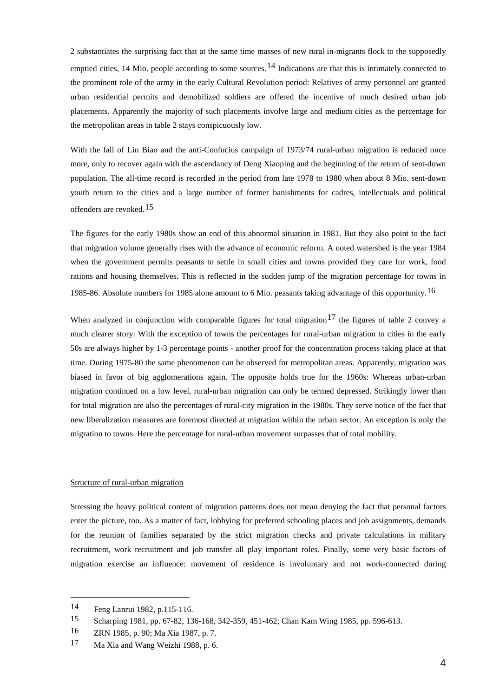2 substantiates the surprising fact that at the same time masses of new rural in-migrants flock to the supposedly emptied cities, [14](#page-5-0) Mio. people according to some sources.<sup>14</sup> Indications are that this is intimately connected to the prominent role of the army in the early Cultural Revolution period: Relatives of army personnel are granted urban residential permits and demobilized soldiers are offered the incentive of much desired urban job placements. Apparently the majority of such placements involve large and medium cities as the percentage for the metropolitan areas in table 2 stays conspicuously low.

With the fall of Lin Biao and the anti-Confucius campaign of 1973/74 rural-urban migration is reduced once more, only to recover again with the ascendancy of Deng Xiaoping and the beginning of the return of sent-down population. The all-time record is recorded in the period from late 1978 to 1980 when about 8 Mio. sent-down youth return to the cities and a large number of former banishments for cadres, intellectuals and political offenders are revoked.<sup>[15](#page-5-1)</sup>

The figures for the early 1980s show an end of this abnormal situation in 1981. But they also point to the fact that migration volume generally rises with the advance of economic reform. A noted watershed is the year 1984 when the government permits peasants to settle in small cities and towns provided they care for work, food rations and housing themselves. This is reflected in the sudden jump of the migration percentage for towns in 1985-86. Absolute numbers for 1985 alone amount to 6 Mio. peasants taking advantage of this opportunity.  $16$ 

When analyzed in conjunction with comparable figures for total migration<sup>[17](#page-5-3)</sup> the figures of table 2 convey a much clearer story: With the exception of towns the percentages for rural-urban migration to cities in the early 50s are always higher by 1-3 percentage points - another proof for the concentration process taking place at that time. During 1975-80 the same phenomenon can be observed for metropolitan areas. Apparently, migration was biased in favor of big agglomerations again. The opposite holds true for the 1960s: Whereas urban-urban migration continued on a low level, rural-urban migration can only be termed depressed. Strikingly lower than for total migration are also the percentages of rural-city migration in the 1980s. They serve notice of the fact that new liberalization measures are foremost directed at migration within the urban sector. An exception is only the migration to towns. Here the percentage for rural-urban movement surpasses that of total mobility.

## Structure of rural-urban migration

Stressing the heavy political content of migration patterns does not mean denying the fact that personal factors enter the picture, too. As a matter of fact, lobbying for preferred schooling places and job assignments, demands for the reunion of families separated by the strict migration checks and private calculations in military recruitment, work recruitment and job transfer all play important roles. Finally, some very basic factors of migration exercise an influence: movement of residence is involuntary and not work-connected during

<span id="page-5-0"></span><sup>14</sup> Feng Lanrui 1982, p.115-116.

<span id="page-5-1"></span><sup>15</sup> Scharping 1981, pp. 67-82, 136-168, 342-359, 451-462; Chan Kam Wing 1985, pp. 596-613.

<span id="page-5-3"></span><span id="page-5-2"></span><sup>16</sup> ZRN 1985, p. 90; Ma Xia 1987, p. 7.

<sup>17</sup> Ma Xia and Wang Weizhi 1988, p. 6.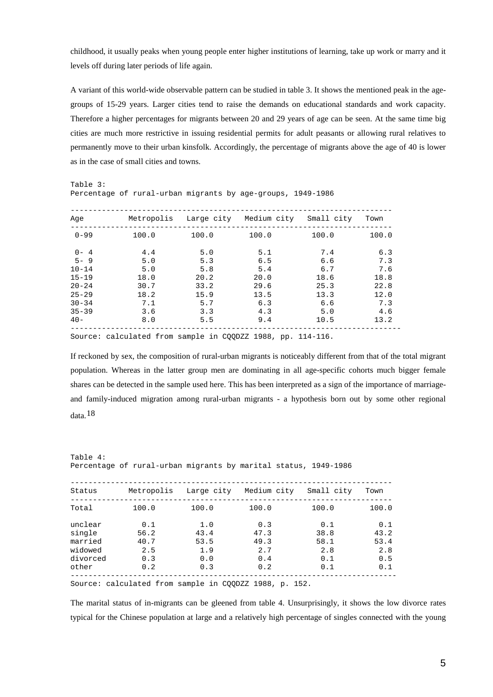childhood, it usually peaks when young people enter higher institutions of learning, take up work or marry and it levels off during later periods of life again.

A variant of this world-wide observable pattern can be studied in table 3. It shows the mentioned peak in the agegroups of 15-29 years. Larger cities tend to raise the demands on educational standards and work capacity. Therefore a higher percentages for migrants between 20 and 29 years of age can be seen. At the same time big cities are much more restrictive in issuing residential permits for adult peasants or allowing rural relatives to permanently move to their urban kinsfolk. Accordingly, the percentage of migrants above the age of 40 is lower as in the case of small cities and towns.

Table 3:

Percentage of rural-urban migrants by age-groups, 1949-1986

| Aqe       | Metropolis |       | Large city Medium city | Small city | Town  |
|-----------|------------|-------|------------------------|------------|-------|
| $0 - 99$  | 100.0      | 100.0 | 100.0                  | 100.0      | 100.0 |
| $0 - 4$   | 4.4        | 5.0   | 5.1                    | 7.4        | 6.3   |
| $5 - 9$   | 5.0        | 5.3   | 6.5                    | 6.6        | 7.3   |
| $10 - 14$ | 5.0        | 5.8   | 5.4                    | 6.7        | 7.6   |
| $15 - 19$ | 18.0       | 20.2  | 20.0                   | 18.6       | 18.8  |
| $20 - 24$ | 30.7       | 33.2  | 29.6                   | 25.3       | 22.8  |
| $25 - 29$ | 18.2       | 15.9  | 13.5                   | 13.3       | 12.0  |
| $30 - 34$ | 7.1        | 5.7   | 6.3                    | 6.6        | 7.3   |
| $35 - 39$ | 3.6        | 3.3   | 4.3                    | 5.0        | 4.6   |
| $40 -$    | 8.0        | 5.5   | 9.4                    | 10.5       | 13.2  |

Source: calculated from sample in CQQDZZ 1988, pp. 114-116.

If reckoned by sex, the composition of rural-urban migrants is noticeably different from that of the total migrant population. Whereas in the latter group men are dominating in all age-specific cohorts much bigger female shares can be detected in the sample used here. This has been interpreted as a sign of the importance of marriageand family-induced migration among rural-urban migrants - a hypothesis born out by some other regional data.[18](#page-6-0)

Table 4: Percentage of rural-urban migrants by marital status, 1949-1986

| Status   | Metropolis | Large city | Medium city | Small city | Town  |
|----------|------------|------------|-------------|------------|-------|
| Total    | 100.0      | 100.0      | 100.0       | 100.0      | 100.0 |
| unclear  | 0.1        | 1.0        | 0.3         | 0.1        | 0.1   |
| single   | 56.2       | 43.4       | 47.3        | 38.8       | 43.2  |
| married  | 40.7       | 53.5       | 49.3        | 58.1       | 53.4  |
| widowed  | 2.5        | 1.9        | 2.7         | 2.8        | 2.8   |
| divorced | 0.3        | 0.0        | 0.4         | 0.1        | 0.5   |
| other    | 0.2        | 0.3        | 0.2         | 0.1        | 0.1   |
|          |            |            |             |            |       |

Source: calculated from sample in CQQDZZ 1988, p. 152.

<span id="page-6-0"></span>The marital status of in-migrants can be gleened from table 4. Unsurprisingly, it shows the low divorce rates typical for the Chinese population at large and a relatively high percentage of singles connected with the young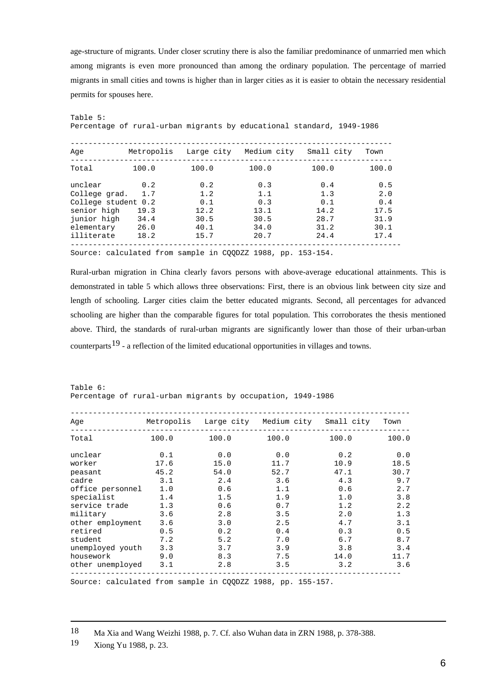age-structure of migrants. Under closer scrutiny there is also the familiar predominance of unmarried men which among migrants is even more pronounced than among the ordinary population. The percentage of married migrants in small cities and towns is higher than in larger cities as it is easier to obtain the necessary residential permits for spouses here.

| Metropolis          |                              |              | Small city                | Town                                                                                                |
|---------------------|------------------------------|--------------|---------------------------|-----------------------------------------------------------------------------------------------------|
| 100.0               | 100.0                        | 100.0        | 100.0                     | 100.0                                                                                               |
| 0.2                 | 0.2                          | 0.3          | 0.4                       | 0.5<br>2.0                                                                                          |
| College student 0.2 | 0.1                          | 0.3          | 0.1                       | 0.4<br>17.5                                                                                         |
| 34.4<br>26.0        | 30.5<br>40.1                 | 30.5<br>34.0 | 28.7<br>31.2              | 31.9<br>30.1                                                                                        |
| 18.2                | 15.7                         | 20.7         | 24.4                      | 17.4                                                                                                |
|                     | 1.7<br>College grad.<br>19.3 | 1.2<br>12.2  | Large city<br>1.1<br>13.1 | Percentage of rural-urban migrants by educational standard, 1949–1986<br>Medium city<br>1.3<br>14.2 |

Source: calculated from sample in CQQDZZ 1988, pp. 153-154.

Rural-urban migration in China clearly favors persons with above-average educational attainments. This is demonstrated in table 5 which allows three observations: First, there is an obvious link between city size and length of schooling. Larger cities claim the better educated migrants. Second, all percentages for advanced schooling are higher than the comparable figures for total population. This corroborates the thesis mentioned above. Third, the standards of rural-urban migrants are significantly lower than those of their urban-urban counterparts<sup>[19](#page-7-0)</sup> - a reflection of the limited educational opportunities in villages and towns.

Table 6: Percentage of rural-urban migrants by occupation, 1949-1986

| Age              | Metropolis | Large city | Medium city | Small city | Town  |
|------------------|------------|------------|-------------|------------|-------|
| Total            | 100.0      | 100.0      | 100.0       | 100.0      | 100.0 |
| unclear          | 0.1        | 0.0        | 0.0         | 0.2        | 0.0   |
| worker           | 17.6       | 15.0       | 11.7        | 10.9       | 18.5  |
| peasant          | 45.2       | 54.0       | 52.7        | 47.1       | 30.7  |
| cadre            | 3.1        | 2.4        | 3.6         | 4.3        | 9.7   |
| office personnel | 1.0        | 0.6        | 1.1         | 0.6        | 2.7   |
| specialist       | 1.4        | 1.5        | 1.9         | 1.0        | 3.8   |
| service trade    | 1.3        | 0.6        | 0.7         | 1.2        | 2.2   |
| military         | 3.6        | 2.8        | 3.5         | 2.0        | 1.3   |
| other employment | 3.6        | 3.0        | 2.5         | 4.7        | 3.1   |
| retired          | 0.5        | 0.2        | 0.4         | 0.3        | 0.5   |
| student          | 7.2        | 5.2        | 7.0         | 6.7        | 8.7   |
| unemployed youth | 3.3        | 3.7        | 3.9         | 3.8        | 3.4   |
| housework        | 9.0        | 8.3        | 7.5         | 14.0       | 11.7  |
| other unemployed | 3.1        | 2.8        | 3.5         | 3.2        | 3.6   |
|                  |            |            |             |            |       |

Source: calculated from sample in CQQDZZ 1988, pp. 155-157.

18 Ma Xia and Wang Weizhi 1988, p. 7. Cf. also Wuhan data in ZRN 1988, p. 378-388.

-

Table 5:

<span id="page-7-0"></span><sup>19</sup> Xiong Yu 1988, p. 23.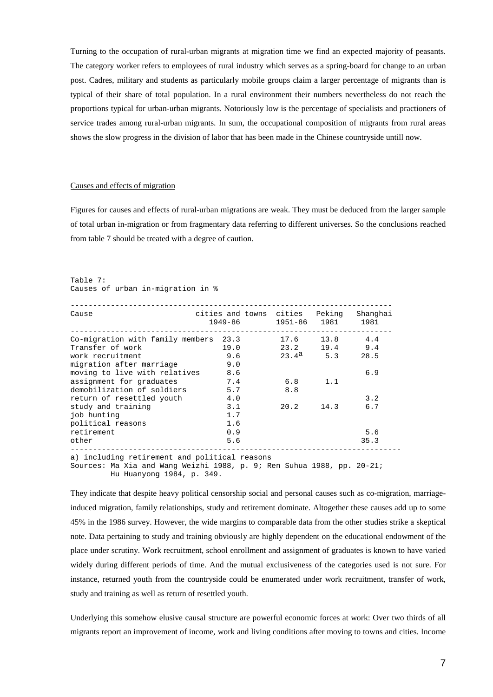Turning to the occupation of rural-urban migrants at migration time we find an expected majority of peasants. The category worker refers to employees of rural industry which serves as a spring-board for change to an urban post. Cadres, military and students as particularly mobile groups claim a larger percentage of migrants than is typical of their share of total population. In a rural environment their numbers nevertheless do not reach the proportions typical for urban-urban migrants. Notoriously low is the percentage of specialists and practioners of service trades among rural-urban migrants. In sum, the occupational composition of migrants from rural areas shows the slow progress in the division of labor that has been made in the Chinese countryside untill now.

#### Causes and effects of migration

Figures for causes and effects of rural-urban migrations are weak. They must be deduced from the larger sample of total urban in-migration or from fragmentary data referring to different universes. So the conclusions reached from table 7 should be treated with a degree of caution.

```
Table 7:
Causes of urban in-migration in %
```

| Cause                                                                                                                                                | cities and towns cities Peking Shanghai<br>1949-86 1951-86 1981 1981 |                   |           |      |  |  |
|------------------------------------------------------------------------------------------------------------------------------------------------------|----------------------------------------------------------------------|-------------------|-----------|------|--|--|
| Co-migration with family members $23.3$ 17.6 13.8 4.4                                                                                                |                                                                      |                   |           |      |  |  |
| Transfer of work                                                                                                                                     | 19.0 23.2 19.4 9.4                                                   |                   |           |      |  |  |
| work recruitment                                                                                                                                     | 9.6                                                                  | $23.4^a$ 5.3 28.5 |           |      |  |  |
| migration after marriage                                                                                                                             | 9.0                                                                  |                   |           |      |  |  |
| moving to live with relatives 8.6                                                                                                                    |                                                                      |                   |           | 6.9  |  |  |
| assignment for graduates                                                                                                                             | 7.4                                                                  | 6.8               | 1.1       |      |  |  |
| demobilization of soldiers 5.7                                                                                                                       |                                                                      | 8.8               |           |      |  |  |
| return of resettled youth 4.0                                                                                                                        |                                                                      |                   |           | 3.2  |  |  |
| study and training                                                                                                                                   | 3.1                                                                  |                   | 20.2 14.3 | 6.7  |  |  |
| job hunting                                                                                                                                          | 1.7                                                                  |                   |           |      |  |  |
| political reasons                                                                                                                                    | 1.6                                                                  |                   |           |      |  |  |
| retirement                                                                                                                                           | 0.9                                                                  |                   |           | 5.6  |  |  |
| other                                                                                                                                                | 5.6                                                                  |                   |           | 35.3 |  |  |
| a) including retirement and political reasons<br>Sources: Ma Xia and Wang Weizhi 1988, p. 9; Ren Suhua 1988, pp. 20-21;<br>Hu Huanyong 1984, p. 349. |                                                                      |                   |           |      |  |  |

They indicate that despite heavy political censorship social and personal causes such as co-migration, marriageinduced migration, family relationships, study and retirement dominate. Altogether these causes add up to some 45% in the 1986 survey. However, the wide margins to comparable data from the other studies strike a skeptical note. Data pertaining to study and training obviously are highly dependent on the educational endowment of the place under scrutiny. Work recruitment, school enrollment and assignment of graduates is known to have varied widely during different periods of time. And the mutual exclusiveness of the categories used is not sure. For instance, returned youth from the countryside could be enumerated under work recruitment, transfer of work, study and training as well as return of resettled youth.

Underlying this somehow elusive causal structure are powerful economic forces at work: Over two thirds of all migrants report an improvement of income, work and living conditions after moving to towns and cities. Income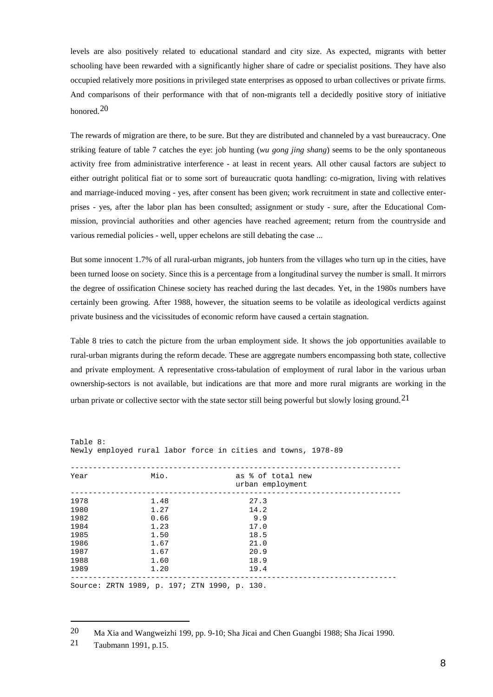levels are also positively related to educational standard and city size. As expected, migrants with better schooling have been rewarded with a significantly higher share of cadre or specialist positions. They have also occupied relatively more positions in privileged state enterprises as opposed to urban collectives or private firms. And comparisons of their performance with that of non-migrants tell a decidedly positive story of initiative honored.[20](#page-9-0)

The rewards of migration are there, to be sure. But they are distributed and channeled by a vast bureaucracy. One striking feature of table 7 catches the eye: job hunting (*wu gong jing shang*) seems to be the only spontaneous activity free from administrative interference - at least in recent years. All other causal factors are subject to either outright political fiat or to some sort of bureaucratic quota handling: co-migration, living with relatives and marriage-induced moving - yes, after consent has been given; work recruitment in state and collective enterprises - yes, after the labor plan has been consulted; assignment or study - sure, after the Educational Commission, provincial authorities and other agencies have reached agreement; return from the countryside and various remedial policies - well, upper echelons are still debating the case ...

But some innocent 1.7% of all rural-urban migrants, job hunters from the villages who turn up in the cities, have been turned loose on society. Since this is a percentage from a longitudinal survey the number is small. It mirrors the degree of ossification Chinese society has reached during the last decades. Yet, in the 1980s numbers have certainly been growing. After 1988, however, the situation seems to be volatile as ideological verdicts against private business and the vicissitudes of economic reform have caused a certain stagnation.

Table 8 tries to catch the picture from the urban employment side. It shows the job opportunities available to rural-urban migrants during the reform decade. These are aggregate numbers encompassing both state, collective and private employment. A representative cross-tabulation of employment of rural labor in the various urban ownership-sectors is not available, but indications are that more and more rural migrants are working in the urban private or collective sector with the state sector still being powerful but slowly losing ground.  $21$ 

| Table 8: |                                              | Newly employed rural labor force in cities and towns, 1978-89 |
|----------|----------------------------------------------|---------------------------------------------------------------|
| Year     | Mio.                                         | as % of total new<br>urban employment                         |
| 1978     | 1.48                                         | 27.3                                                          |
| 1980     | 1.27                                         | 14.2                                                          |
| 1982     | 0.66                                         | 9.9                                                           |
| 1984     | 1.23                                         | 17.0                                                          |
| 1985     | 1.50                                         | 18.5                                                          |
| 1986     | 1.67                                         | 21.0                                                          |
| 1987     | 1.67                                         | 20.9                                                          |
| 1988     | 1.60                                         | 18.9                                                          |
| 1989     | 1.20                                         | 19.4                                                          |
|          | Source: ZRTN 1989, p. 197; ZTN 1990, p. 130. |                                                               |

<span id="page-9-0"></span><sup>20</sup> Ma Xia and Wangweizhi 199, pp. 9-10; Sha Jicai and Chen Guangbi 1988; Sha Jicai 1990.

<span id="page-9-1"></span><sup>21</sup> Taubmann 1991, p.15.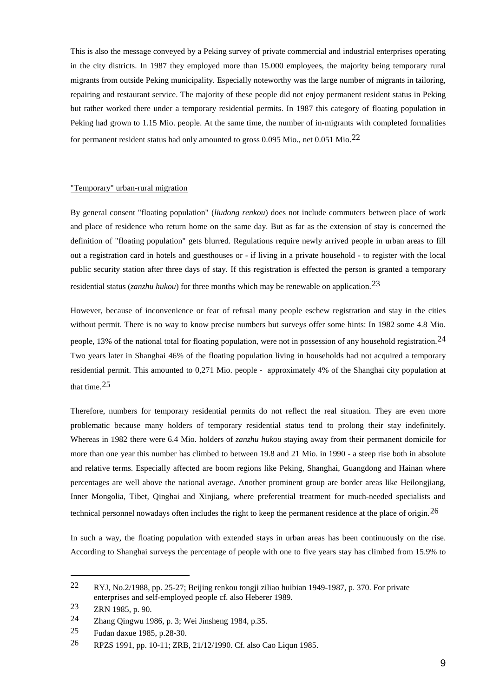This is also the message conveyed by a Peking survey of private commercial and industrial enterprises operating in the city districts. In 1987 they employed more than 15.000 employees, the majority being temporary rural migrants from outside Peking municipality. Especially noteworthy was the large number of migrants in tailoring, repairing and restaurant service. The majority of these people did not enjoy permanent resident status in Peking but rather worked there under a temporary residential permits. In 1987 this category of floating population in Peking had grown to 1.15 Mio. people. At the same time, the number of in-migrants with completed formalities for permanent resident status had only amounted to gross  $0.095$  Mio., net  $0.051$  Mio.<sup>[22](#page-10-0)</sup>

## "Temporary" urban-rural migration

By general consent "floating population" (*liudong renkou*) does not include commuters between place of work and place of residence who return home on the same day. But as far as the extension of stay is concerned the definition of "floating population" gets blurred. Regulations require newly arrived people in urban areas to fill out a registration card in hotels and guesthouses or - if living in a private household - to register with the local public security station after three days of stay. If this registration is effected the person is granted a temporary residential status (*zanzhu hukou*) for three months which may be renewable on application.[23](#page-10-1)

However, because of inconvenience or fear of refusal many people eschew registration and stay in the cities without permit. There is no way to know precise numbers but surveys offer some hints: In 1982 some 4.8 Mio. people, 13% of the national total for floating population, were not in possession of any household registration.<sup>[24](#page-10-2)</sup> Two years later in Shanghai 46% of the floating population living in households had not acquired a temporary residential permit. This amounted to 0,271 Mio. people - approximately 4% of the Shanghai city population at that time.  $25$ 

Therefore, numbers for temporary residential permits do not reflect the real situation. They are even more problematic because many holders of temporary residential status tend to prolong their stay indefinitely. Whereas in 1982 there were 6.4 Mio. holders of *zanzhu hukou* staying away from their permanent domicile for more than one year this number has climbed to between 19.8 and 21 Mio. in 1990 - a steep rise both in absolute and relative terms. Especially affected are boom regions like Peking, Shanghai, Guangdong and Hainan where percentages are well above the national average. Another prominent group are border areas like Heilongjiang, Inner Mongolia, Tibet, Qinghai and Xinjiang, where preferential treatment for much-needed specialists and technical personnel nowadays often includes the right to keep the permanent residence at the place of origin.<sup>[26](#page-10-4)</sup>

In such a way, the floating population with extended stays in urban areas has been continuously on the rise. According to Shanghai surveys the percentage of people with one to five years stay has climbed from 15.9% to

<span id="page-10-0"></span><sup>22</sup> RYJ, No.2/1988, pp. 25-27; Beijing renkou tongji ziliao huibian 1949-1987, p. 370. For private enterprises and self-employed people cf. also Heberer 1989.

<span id="page-10-1"></span><sup>23</sup> ZRN 1985, p. 90.

<span id="page-10-2"></span><sup>24</sup> Zhang Qingwu 1986, p. 3; Wei Jinsheng 1984, p.35.

<span id="page-10-3"></span><sup>25</sup> Fudan daxue 1985, p.28-30.

<span id="page-10-4"></span><sup>26</sup> RPZS 1991, pp. 10-11; ZRB, 21/12/1990. Cf. also Cao Liqun 1985.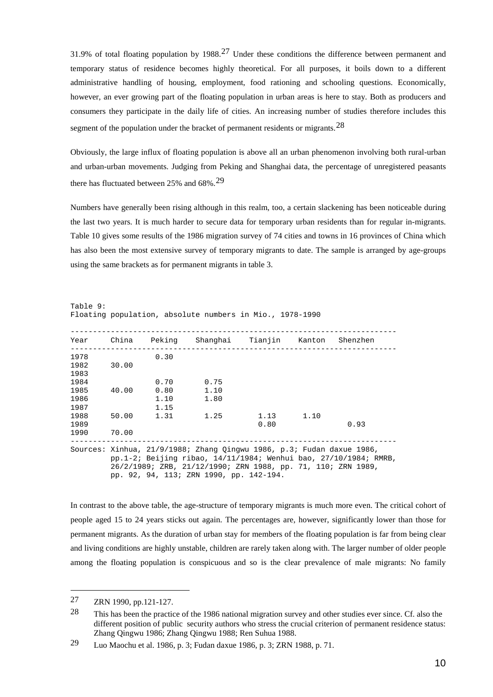31.9% of total floating population by 1988.[27](#page-11-0) Under these conditions the difference between permanent and temporary status of residence becomes highly theoretical. For all purposes, it boils down to a different administrative handling of housing, employment, food rationing and schooling questions. Economically, however, an ever growing part of the floating population in urban areas is here to stay. Both as producers and consumers they participate in the daily life of cities. An increasing number of studies therefore includes this segment of the population under the bracket of permanent residents or migrants.<sup>[28](#page-11-1)</sup>

Obviously, the large influx of floating population is above all an urban phenomenon involving both rural-urban and urban-urban movements. Judging from Peking and Shanghai data, the percentage of unregistered peasants there has fluctuated between 25% and  $68\%$ .<sup>[29](#page-11-2)</sup>

Numbers have generally been rising although in this realm, too, a certain slackening has been noticeable during the last two years. It is much harder to secure data for temporary urban residents than for regular in-migrants. Table 10 gives some results of the 1986 migration survey of 74 cities and towns in 16 provinces of China which has also been the most extensive survey of temporary migrants to date. The sample is arranged by age-groups using the same brackets as for permanent migrants in table 3.

| Year                         |                                                                                                                                                                                                              |                              | China Peking Shanghai Tianjin Kanton Shenzhen |              |      |      |  |
|------------------------------|--------------------------------------------------------------------------------------------------------------------------------------------------------------------------------------------------------------|------------------------------|-----------------------------------------------|--------------|------|------|--|
| 1978<br>1982<br>1983         | 30.00                                                                                                                                                                                                        | 0.30                         |                                               |              |      |      |  |
| 1984<br>1985<br>1986<br>1987 | 40.00                                                                                                                                                                                                        | 0.70<br>0.80<br>1.10<br>1.15 | 0.75<br>1.10<br>1.80                          |              |      |      |  |
| 1988<br>1989<br>1990         | 50.00<br>70.00                                                                                                                                                                                               | 1.31                         | 1.25                                          | 1.13<br>0.80 | 1.10 | 0.93 |  |
|                              | Sources: Xinhua, 21/9/1988; Zhang Oingwu 1986, p.3; Fudan daxue 1986,<br>$pp.1-2$ ; Beijing ribao, 14/11/1984; Wenhui bao, 27/10/1984; RMRB,<br>26/2/1989; ZRB, 21/12/1990; ZRN 1988, pp. 71, 110; ZRN 1989, |                              |                                               |              |      |      |  |

Table 9: Floating population, absolute numbers in Mio., 1978-1990

pp. 92, 94, 113; ZRN 1990, pp. 142-194.

In contrast to the above table, the age-structure of temporary migrants is much more even. The critical cohort of people aged 15 to 24 years sticks out again. The percentages are, however, significantly lower than those for permanent migrants. As the duration of urban stay for members of the floating population is far from being clear and living conditions are highly unstable, children are rarely taken along with. The larger number of older people among the floating population is conspicuous and so is the clear prevalence of male migrants: No family

<span id="page-11-0"></span><sup>27</sup> ZRN 1990, pp.121-127.

<span id="page-11-1"></span><sup>28</sup> This has been the practice of the 1986 national migration survey and other studies ever since. Cf. also the different position of public security authors who stress the crucial criterion of permanent residence status: Zhang Qingwu 1986; Zhang Qingwu 1988; Ren Suhua 1988.

<span id="page-11-2"></span><sup>29</sup> Luo Maochu et al. 1986, p. 3; Fudan daxue 1986, p. 3; ZRN 1988, p. 71.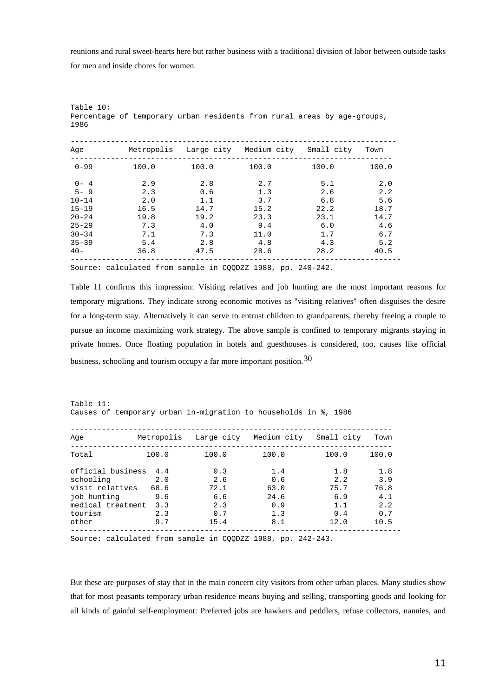reunions and rural sweet-hearts here but rather business with a traditional division of labor between outside tasks for men and inside chores for women.

| Age       | Metropolis | Large city | Medium city | Small city | Town  |
|-----------|------------|------------|-------------|------------|-------|
| $0 - 99$  | 100.0      | 100.0      | 100.0       | 100.0      | 100.0 |
| $0 - 4$   | 2.9        | 2.8        | 2.7         | 5.1        | 2.0   |
| $5 - 9$   | 2.3        | 0.6        | 1.3         | 2.6        | 2.2   |
| $10 - 14$ | 2.0        | 1.1        | 3.7         | 6.8        | 5.6   |
| $15 - 19$ | 16.5       | 14.7       | 15.2        | 22.2       | 18.7  |
| $20 - 24$ | 19.8       | 19.2       | 23.3        | 23.1       | 14.7  |
| $25 - 29$ | 7.3        | 4.0        | 9.4         | 6.0        | 4.6   |
| $30 - 34$ | 7.1        | 7.3        | 11.0        | 1.7        | 6.7   |
| $35 - 39$ | 5.4        | 2.8        | 4.8         | 4.3        | 5.2   |
| $40 -$    | 36.8       | 47.5       | 28.6        | 28.2       | 40.5  |

Table 10: Percentage of temporary urban residents from rural areas by age-groups, 1986

Source: calculated from sample in CQQDZZ 1988, pp. 240-242.

Table 11 confirms this impression: Visiting relatives and job hunting are the most important reasons for temporary migrations. They indicate strong economic motives as "visiting relatives" often disguises the desire for a long-term stay. Alternatively it can serve to entrust children to grandparents, thereby freeing a couple to pursue an income maximizing work strategy. The above sample is confined to temporary migrants staying in private homes. Once floating population in hotels and guesthouses is considered, too, causes like official business, schooling and tourism occupy a far more important position.  $30$ 

Table 11: Causes of temporary urban in-migration to households in %, 1986

| Aqe                                                         | Metropolis         |                    | Large city Medium city | Small city         | Town               |
|-------------------------------------------------------------|--------------------|--------------------|------------------------|--------------------|--------------------|
| Total                                                       | 100.0              | 100.0              | 100.0                  | 100.0              | 100.0              |
| official business<br>schooling                              | 4.4<br>2.0         | 0.3<br>2.6         | 1.4<br>0.6             | 1.8<br>2.2         | 1.8<br>3.9         |
| visit relatives<br>job hunting<br>medical treatment         | 68.6<br>9.6<br>3.3 | 72.1<br>6.6<br>2.3 | 63.0<br>24.6<br>0.9    | 75.7<br>6.9<br>1.1 | 76.8<br>4.1<br>2.2 |
| tourism<br>other                                            | 2.3<br>9.7         | 0.7<br>15.4        | 1.3<br>8.1             | 0.4<br>12.0        | 0.7<br>10.5        |
| Source: calculated from sample in COODZZ 1988, pp. 242-243. |                    |                    |                        |                    |                    |

<span id="page-12-0"></span>But these are purposes of stay that in the main concern city visitors from other urban places. Many studies show that for most peasants temporary urban residence means buying and selling, transporting goods and looking for all kinds of gainful self-employment: Preferred jobs are hawkers and peddlers, refuse collectors, nannies, and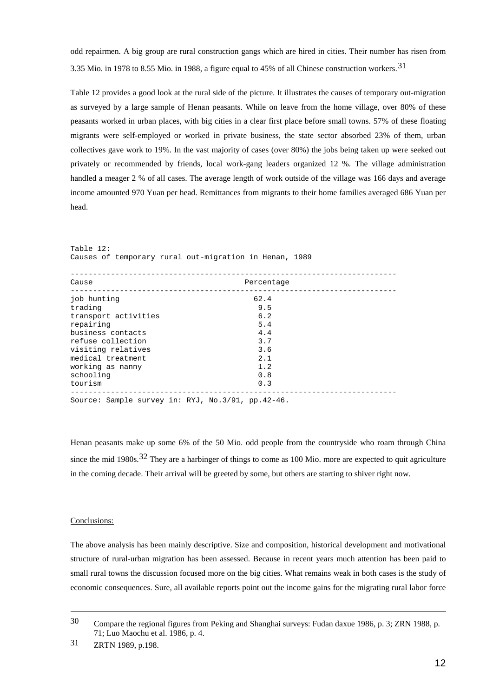odd repairmen. A big group are rural construction gangs which are hired in cities. Their number has risen from 3.35 Mio. in 1978 to 8.55 Mio. in 1988, a figure equal to 45% of all Chinese construction workers.[31](#page-13-0)

Table 12 provides a good look at the rural side of the picture. It illustrates the causes of temporary out-migration as surveyed by a large sample of Henan peasants. While on leave from the home village, over 80% of these peasants worked in urban places, with big cities in a clear first place before small towns. 57% of these floating migrants were self-employed or worked in private business, the state sector absorbed 23% of them, urban collectives gave work to 19%. In the vast majority of cases (over 80%) the jobs being taken up were seeked out privately or recommended by friends, local work-gang leaders organized 12 %. The village administration handled a meager 2 % of all cases. The average length of work outside of the village was 166 days and average income amounted 970 Yuan per head. Remittances from migrants to their home families averaged 686 Yuan per head.

| Table 12:            |                                                        |  |
|----------------------|--------------------------------------------------------|--|
|                      | Causes of temporary rural out-migration in Henan, 1989 |  |
|                      |                                                        |  |
| Cause                | Percentage                                             |  |
| job hunting          | 62.4                                                   |  |
| trading              | 9.5                                                    |  |
| transport activities | 6.2                                                    |  |
| repairing            | 5.4                                                    |  |
| business contacts    | 4.4                                                    |  |
| refuse collection    | 3.7                                                    |  |
| visiting relatives   | 3.6                                                    |  |
| medical treatment    | 2.1                                                    |  |
| working as nanny     | 1.2                                                    |  |
| schooling            | 0.8                                                    |  |
| tourism              | 0.3                                                    |  |
|                      | Source: Sample survey in: RYJ, No.3/91, pp.42-46.      |  |

Henan peasants make up some 6% of the 50 Mio. odd people from the countryside who roam through China since the mid 1980s.<sup>[32](#page-13-0)</sup> They are a harbinger of things to come as 100 Mio. more are expected to quit agriculture in the coming decade. Their arrival will be greeted by some, but others are starting to shiver right now.

### Conclusions:

-

The above analysis has been mainly descriptive. Size and composition, historical development and motivational structure of rural-urban migration has been assessed. Because in recent years much attention has been paid to small rural towns the discussion focused more on the big cities. What remains weak in both cases is the study of economic consequences. Sure, all available reports point out the income gains for the migrating rural labor force

<sup>30</sup> Compare the regional figures from Peking and Shanghai surveys: Fudan daxue 1986, p. 3; ZRN 1988, p. 71; Luo Maochu et al. 1986, p. 4.

<span id="page-13-0"></span><sup>31</sup> ZRTN 1989, p.198.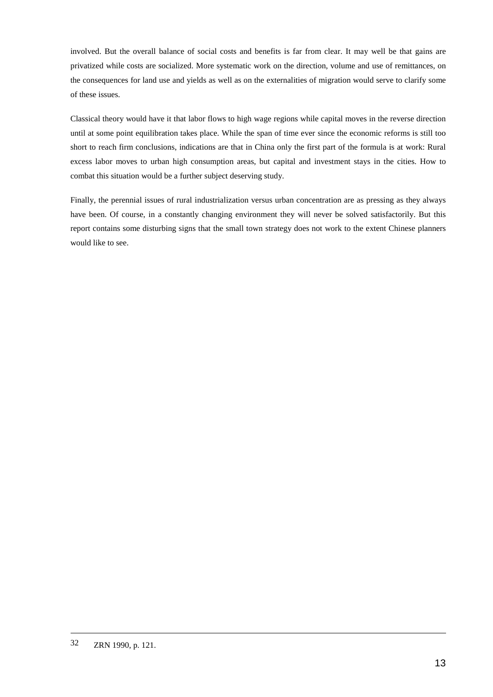involved. But the overall balance of social costs and benefits is far from clear. It may well be that gains are privatized while costs are socialized. More systematic work on the direction, volume and use of remittances, on the consequences for land use and yields as well as on the externalities of migration would serve to clarify some of these issues.

Classical theory would have it that labor flows to high wage regions while capital moves in the reverse direction until at some point equilibration takes place. While the span of time ever since the economic reforms is still too short to reach firm conclusions, indications are that in China only the first part of the formula is at work: Rural excess labor moves to urban high consumption areas, but capital and investment stays in the cities. How to combat this situation would be a further subject deserving study.

Finally, the perennial issues of rural industrialization versus urban concentration are as pressing as they always have been. Of course, in a constantly changing environment they will never be solved satisfactorily. But this report contains some disturbing signs that the small town strategy does not work to the extent Chinese planners would like to see.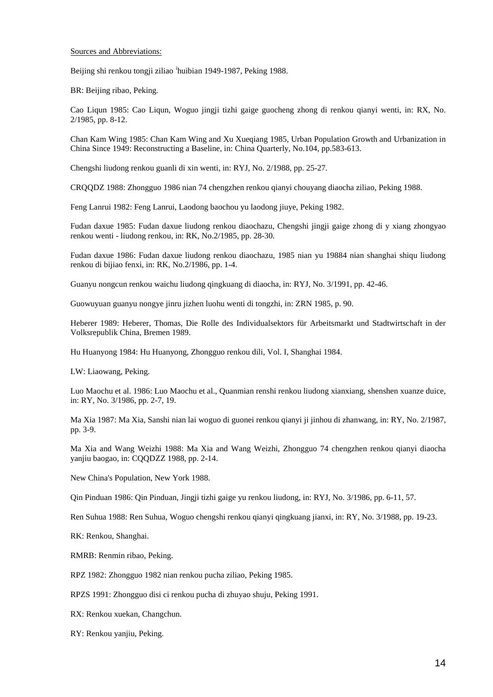### Sources and Abbreviations:

Be[i](#page-16-0)jing shi renkou tongji ziliao <sup>i</sup>huibian 1949-1987, Peking 1988.

BR: Beijing ribao, Peking.

Cao Liqun 1985: Cao Liqun, Woguo jingji tizhi gaige guocheng zhong di renkou qianyi wenti, in: RX, No. 2/1985, pp. 8-12.

Chan Kam Wing 1985: Chan Kam Wing and Xu Xueqiang 1985, Urban Population Growth and Urbanization in China Since 1949: Reconstructing a Baseline, in: China Quarterly, No.104, pp.583-613.

Chengshi liudong renkou guanli di xin wenti, in: RYJ, No. 2/1988, pp. 25-27.

CRQQDZ 1988: Zhongguo 1986 nian 74 chengzhen renkou qianyi chouyang diaocha ziliao, Peking 1988.

Feng Lanrui 1982: Feng Lanrui, Laodong baochou yu laodong jiuye, Peking 1982.

Fudan daxue 1985: Fudan daxue liudong renkou diaochazu, Chengshi jingji gaige zhong di y xiang zhongyao renkou wenti - liudong renkou, in: RK, No.2/1985, pp. 28-30.

Fudan daxue 1986: Fudan daxue liudong renkou diaochazu, 1985 nian yu 19884 nian shanghai shiqu liudong renkou di bijiao fenxi, in: RK, No.2/1986, pp. 1-4.

Guanyu nongcun renkou waichu liudong qingkuang di diaocha, in: RYJ, No. 3/1991, pp. 42-46.

Guowuyuan guanyu nongye jinru jizhen luohu wenti di tongzhi, in: ZRN 1985, p. 90.

Heberer 1989: Heberer, Thomas, Die Rolle des Individualsektors für Arbeitsmarkt und Stadtwirtschaft in der Volksrepublik China, Bremen 1989.

Hu Huanyong 1984: Hu Huanyong, Zhongguo renkou dili, Vol. I, Shanghai 1984.

LW: Liaowang, Peking.

Luo Maochu et al. 1986: Luo Maochu et al., Quanmian renshi renkou liudong xianxiang, shenshen xuanze duice, in: RY, No. 3/1986, pp. 2-7, 19.

Ma Xia 1987: Ma Xia, Sanshi nian lai woguo di guonei renkou qianyi ji jinhou di zhanwang, in: RY, No. 2/1987, pp. 3-9.

Ma Xia and Wang Weizhi 1988: Ma Xia and Wang Weizhi, Zhongguo 74 chengzhen renkou qianyi diaocha yanjiu baogao, in: CQQDZZ 1988, pp. 2-14.

New China's Population, New York 1988.

Qin Pinduan 1986: Qin Pinduan, Jingji tizhi gaige yu renkou liudong, in: RYJ, No. 3/1986, pp. 6-11, 57.

Ren Suhua 1988: Ren Suhua, Woguo chengshi renkou qianyi qingkuang jianxi, in: RY, No. 3/1988, pp. 19-23.

RK: Renkou, Shanghai.

RMRB: Renmin ribao, Peking.

RPZ 1982: Zhongguo 1982 nian renkou pucha ziliao, Peking 1985.

RPZS 1991: Zhongguo disi ci renkou pucha di zhuyao shuju, Peking 1991.

RX: Renkou xuekan, Changchun.

RY: Renkou yanjiu, Peking.